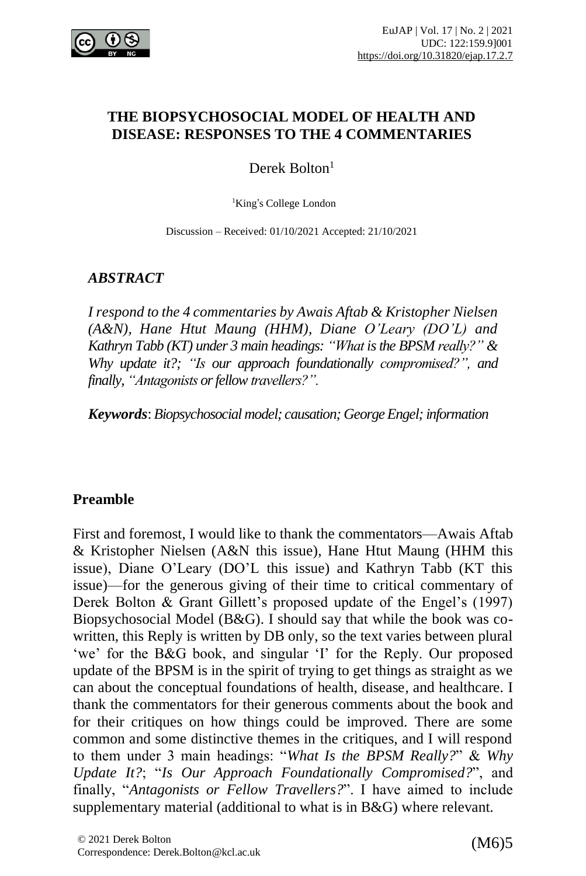

#### **THE BIOPSYCHOSOCIAL MODEL OF HEALTH AND DISEASE: RESPONSES TO THE 4 COMMENTARIES**

Derek Bolton<sup>1</sup>

<sup>1</sup>King's College London

Discussion – Received: 01/10/2021 Accepted: 21/10/2021

## *ABSTRACT*

*I respond to the 4 commentaries by Awais Aftab & Kristopher Nielsen (A&N), Hane Htut Maung (HHM), Diane O'Leary (DO'L) and Kathryn Tabb (KT) under 3 main headings: "What isthe BPSM really?" & Why update it?; "Is our approach foundationally compromised?", and finally, "Antagonists or fellow travellers?".* 

*Keywords*: *Biopsychosocial model; causation; GeorgeEngel; information*

## **Preamble**

First and foremost, I would like to thank the commentators––Awais Aftab & Kristopher Nielsen (A&N this issue), Hane Htut Maung (HHM this issue), Diane O'Leary (DO'L this issue) and Kathryn Tabb (KT this issue)––for the generous giving of their time to critical commentary of Derek Bolton & Grant Gillett's proposed update of the Engel's (1997) Biopsychosocial Model (B&G). I should say that while the book was cowritten, this Reply is written by DB only, so the text varies between plural 'we' for the B&G book, and singular 'I' for the Reply. Our proposed update of the BPSM is in the spirit of trying to get things as straight as we can about the conceptual foundations of health, disease, and healthcare. I thank the commentators for their generous comments about the book and for their critiques on how things could be improved. There are some common and some distinctive themes in the critiques, and I will respond to them under 3 main headings: "*What Is the BPSM Really?*" & *Why Update It?*; "*Is Our Approach Foundationally Compromised?*", and finally, "*Antagonists or Fellow Travellers?*". I have aimed to include supplementary material (additional to what is in B&G) where relevant.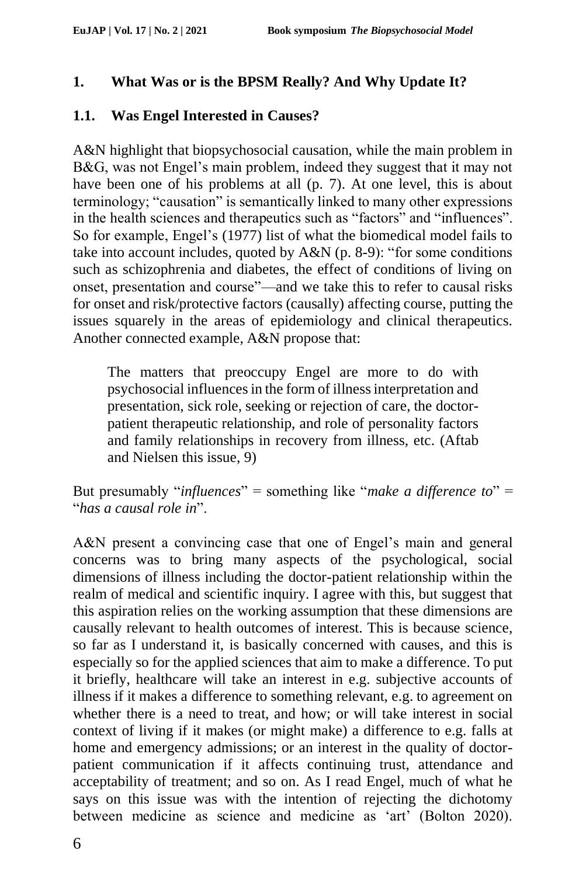# **1. What Was or is the BPSM Really? And Why Update It?**

## **1.1. Was Engel Interested in Causes?**

A&N highlight that biopsychosocial causation, while the main problem in B&G, was not Engel's main problem, indeed they suggest that it may not have been one of his problems at all (p. 7). At one level, this is about terminology; "causation" is semantically linked to many other expressions in the health sciences and therapeutics such as "factors" and "influences". So for example, Engel's (1977) list of what the biomedical model fails to take into account includes, quoted by A&N (p. 8-9): "for some conditions such as schizophrenia and diabetes, the effect of conditions of living on onset, presentation and course"––and we take this to refer to causal risks for onset and risk/protective factors (causally) affecting course, putting the issues squarely in the areas of epidemiology and clinical therapeutics. Another connected example, A&N propose that:

The matters that preoccupy Engel are more to do with psychosocial influences in the form of illness interpretation and presentation, sick role, seeking or rejection of care, the doctorpatient therapeutic relationship, and role of personality factors and family relationships in recovery from illness, etc. (Aftab and Nielsen this issue, 9)

But presumably "*influences*" = something like "*make a difference to*" = "*has a causal role in*".

A&N present a convincing case that one of Engel's main and general concerns was to bring many aspects of the psychological, social dimensions of illness including the doctor-patient relationship within the realm of medical and scientific inquiry. I agree with this, but suggest that this aspiration relies on the working assumption that these dimensions are causally relevant to health outcomes of interest. This is because science, so far as I understand it, is basically concerned with causes, and this is especially so for the applied sciences that aim to make a difference. To put it briefly, healthcare will take an interest in e.g. subjective accounts of illness if it makes a difference to something relevant, e.g. to agreement on whether there is a need to treat, and how; or will take interest in social context of living if it makes (or might make) a difference to e.g. falls at home and emergency admissions; or an interest in the quality of doctorpatient communication if it affects continuing trust, attendance and acceptability of treatment; and so on. As I read Engel, much of what he says on this issue was with the intention of rejecting the dichotomy between medicine as science and medicine as 'art' (Bolton 2020).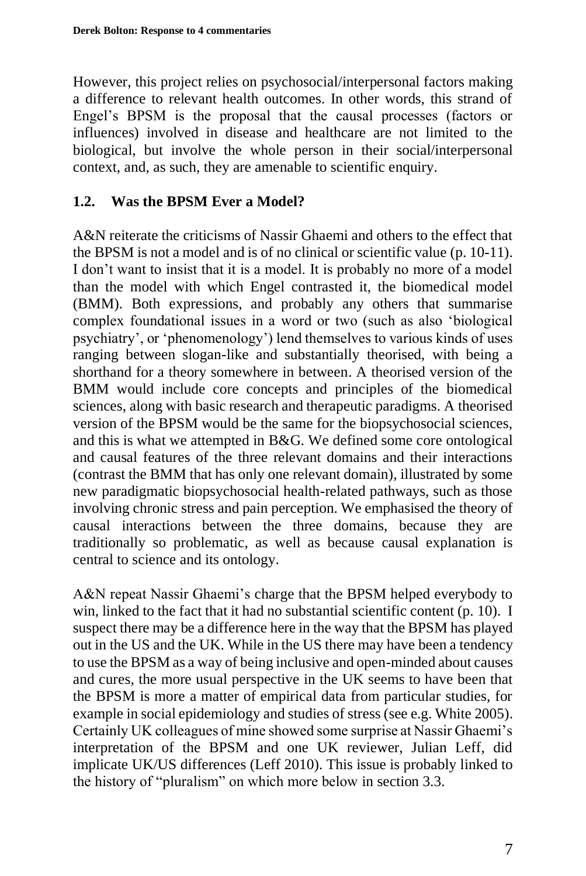However, this project relies on psychosocial/interpersonal factors making a difference to relevant health outcomes. In other words, this strand of Engel's BPSM is the proposal that the causal processes (factors or influences) involved in disease and healthcare are not limited to the biological, but involve the whole person in their social/interpersonal context, and, as such, they are amenable to scientific enquiry.

#### **1.2. Was the BPSM Ever a Model?**

A&N reiterate the criticisms of Nassir Ghaemi and others to the effect that the BPSM is not a model and is of no clinical or scientific value (p. 10-11). I don't want to insist that it is a model. It is probably no more of a model than the model with which Engel contrasted it, the biomedical model (BMM). Both expressions, and probably any others that summarise complex foundational issues in a word or two (such as also 'biological psychiatry', or 'phenomenology') lend themselves to various kinds of uses ranging between slogan-like and substantially theorised, with being a shorthand for a theory somewhere in between. A theorised version of the BMM would include core concepts and principles of the biomedical sciences, along with basic research and therapeutic paradigms. A theorised version of the BPSM would be the same for the biopsychosocial sciences, and this is what we attempted in B&G. We defined some core ontological and causal features of the three relevant domains and their interactions (contrast the BMM that has only one relevant domain), illustrated by some new paradigmatic biopsychosocial health-related pathways, such as those involving chronic stress and pain perception. We emphasised the theory of causal interactions between the three domains, because they are traditionally so problematic, as well as because causal explanation is central to science and its ontology.

A&N repeat Nassir Ghaemi's charge that the BPSM helped everybody to win, linked to the fact that it had no substantial scientific content (p. 10). I suspect there may be a difference here in the way that the BPSM has played out in the US and the UK. While in the US there may have been a tendency to use the BPSM as a way of being inclusive and open-minded about causes and cures, the more usual perspective in the UK seems to have been that the BPSM is more a matter of empirical data from particular studies, for example in social epidemiology and studies of stress (see e.g. White 2005). Certainly UK colleagues of mine showed some surprise at Nassir Ghaemi's interpretation of the BPSM and one UK reviewer, Julian Leff, did implicate UK/US differences (Leff 2010). This issue is probably linked to the history of "pluralism" on which more below in section 3.3.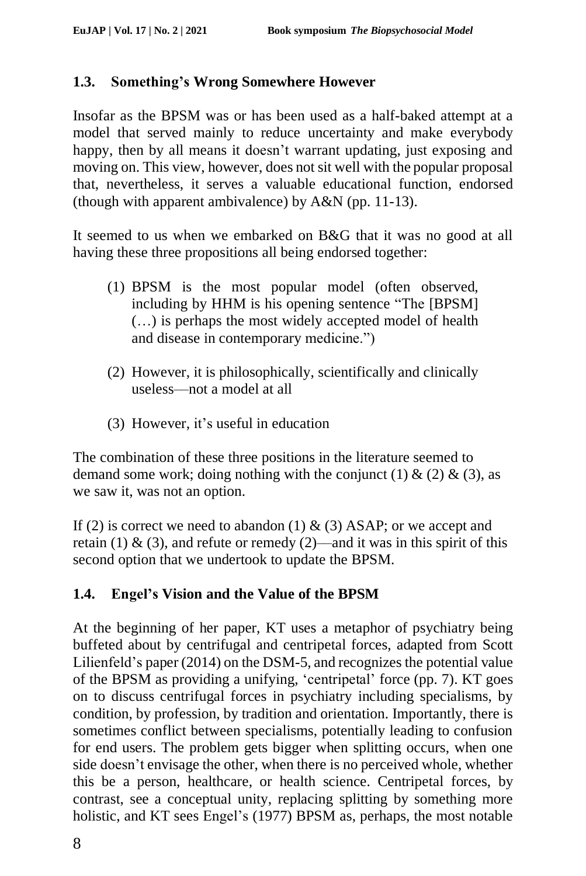# **1.3. Something's Wrong Somewhere However**

Insofar as the BPSM was or has been used as a half-baked attempt at a model that served mainly to reduce uncertainty and make everybody happy, then by all means it doesn't warrant updating, just exposing and moving on. This view, however, does not sit well with the popular proposal that, nevertheless, it serves a valuable educational function, endorsed (though with apparent ambivalence) by A&N (pp. 11-13).

It seemed to us when we embarked on B&G that it was no good at all having these three propositions all being endorsed together:

- (1) BPSM is the most popular model (often observed, including by HHM is his opening sentence "The [BPSM] (…) is perhaps the most widely accepted model of health and disease in contemporary medicine.")
- (2) However, it is philosophically, scientifically and clinically useless––not a model at all
- (3) However, it's useful in education

The combination of these three positions in the literature seemed to demand some work; doing nothing with the conjunct (1)  $\&$  (2)  $\&$  (3), as we saw it, was not an option.

If (2) is correct we need to abandon (1)  $\&$  (3) ASAP; or we accept and retain (1) & (3), and refute or remedy (2)—and it was in this spirit of this second option that we undertook to update the BPSM.

# **1.4. Engel's Vision and the Value of the BPSM**

At the beginning of her paper, KT uses a metaphor of psychiatry being buffeted about by centrifugal and centripetal forces, adapted from Scott Lilienfeld's paper (2014) on the DSM-5, and recognizes the potential value of the BPSM as providing a unifying, 'centripetal' force (pp. 7). KT goes on to discuss centrifugal forces in psychiatry including specialisms, by condition, by profession, by tradition and orientation. Importantly, there is sometimes conflict between specialisms, potentially leading to confusion for end users. The problem gets bigger when splitting occurs, when one side doesn't envisage the other, when there is no perceived whole, whether this be a person, healthcare, or health science. Centripetal forces, by contrast, see a conceptual unity, replacing splitting by something more holistic, and KT sees Engel's (1977) BPSM as, perhaps, the most notable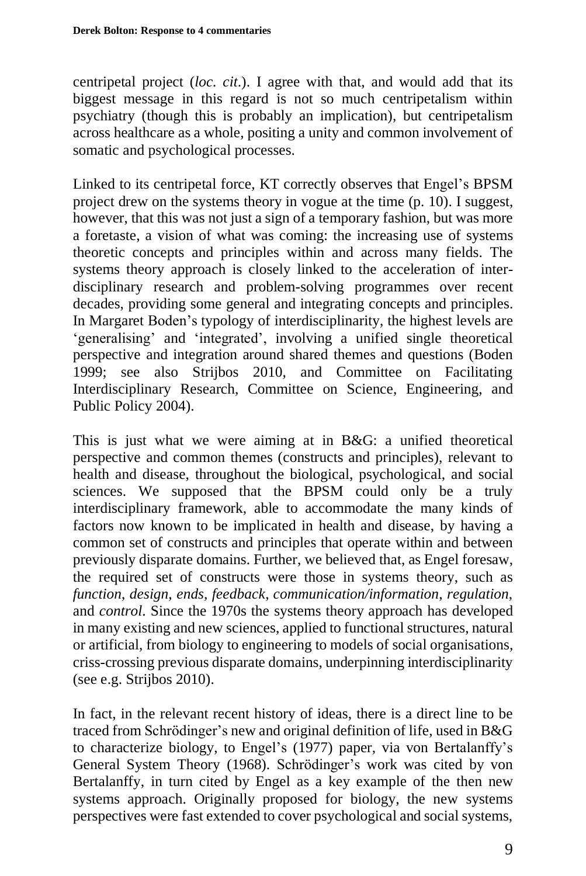centripetal project (*loc. cit*.). I agree with that, and would add that its biggest message in this regard is not so much centripetalism within psychiatry (though this is probably an implication), but centripetalism across healthcare as a whole, positing a unity and common involvement of somatic and psychological processes.

Linked to its centripetal force, KT correctly observes that Engel's BPSM project drew on the systems theory in vogue at the time (p. 10). I suggest, however, that this was not just a sign of a temporary fashion, but was more a foretaste, a vision of what was coming: the increasing use of systems theoretic concepts and principles within and across many fields. The systems theory approach is closely linked to the acceleration of interdisciplinary research and problem-solving programmes over recent decades, providing some general and integrating concepts and principles. In Margaret Boden's typology of interdisciplinarity, the highest levels are 'generalising' and 'integrated', involving a unified single theoretical perspective and integration around shared themes and questions (Boden 1999; see also Strijbos 2010, and Committee on Facilitating Interdisciplinary Research, Committee on Science, Engineering, and Public Policy 2004).

This is just what we were aiming at in B&G: a unified theoretical perspective and common themes (constructs and principles), relevant to health and disease, throughout the biological, psychological, and social sciences. We supposed that the BPSM could only be a truly interdisciplinary framework, able to accommodate the many kinds of factors now known to be implicated in health and disease, by having a common set of constructs and principles that operate within and between previously disparate domains. Further, we believed that, as Engel foresaw, the required set of constructs were those in systems theory, such as *function*, *design*, *ends*, *feedback*, *communication/information*, *regulation*, and *control*. Since the 1970s the systems theory approach has developed in many existing and new sciences, applied to functional structures, natural or artificial, from biology to engineering to models of social organisations, criss-crossing previous disparate domains, underpinning interdisciplinarity (see e.g. Strijbos 2010).

In fact, in the relevant recent history of ideas, there is a direct line to be traced from Schrödinger's new and original definition of life, used in B&G to characterize biology, to Engel's (1977) paper, via von Bertalanffy's General System Theory (1968). Schrödinger's work was cited by von Bertalanffy, in turn cited by Engel as a key example of the then new systems approach. Originally proposed for biology, the new systems perspectives were fast extended to cover psychological and social systems,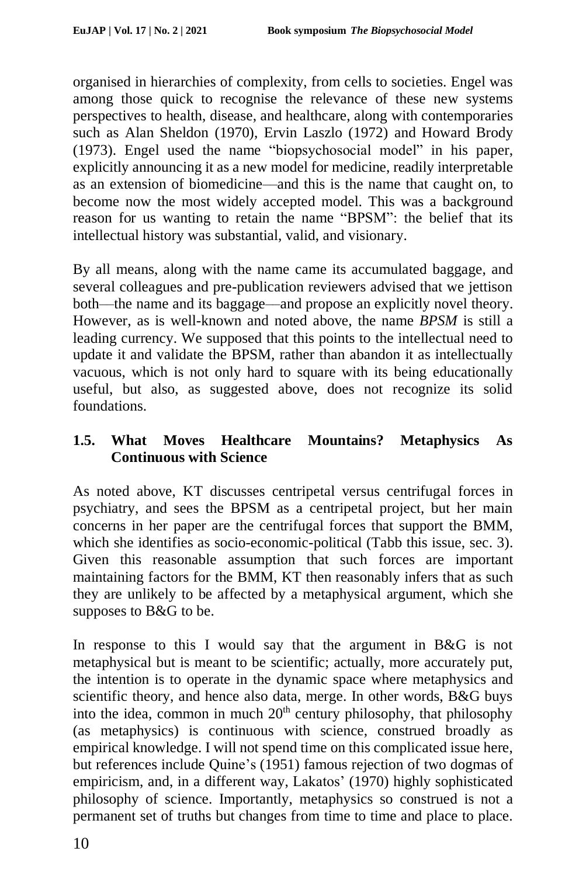organised in hierarchies of complexity, from cells to societies. Engel was among those quick to recognise the relevance of these new systems perspectives to health, disease, and healthcare, along with contemporaries such as Alan Sheldon (1970), Ervin Laszlo (1972) and Howard Brody (1973). Engel used the name "biopsychosocial model" in his paper, explicitly announcing it as a new model for medicine, readily interpretable as an extension of biomedicine––and this is the name that caught on, to become now the most widely accepted model. This was a background reason for us wanting to retain the name "BPSM": the belief that its intellectual history was substantial, valid, and visionary.

By all means, along with the name came its accumulated baggage, and several colleagues and pre-publication reviewers advised that we jettison both––the name and its baggage––and propose an explicitly novel theory. However, as is well-known and noted above, the name *BPSM* is still a leading currency. We supposed that this points to the intellectual need to update it and validate the BPSM, rather than abandon it as intellectually vacuous, which is not only hard to square with its being educationally useful, but also, as suggested above, does not recognize its solid foundations.

# **1.5. What Moves Healthcare Mountains? Metaphysics As Continuous with Science**

As noted above, KT discusses centripetal versus centrifugal forces in psychiatry, and sees the BPSM as a centripetal project, but her main concerns in her paper are the centrifugal forces that support the BMM, which she identifies as socio-economic-political (Tabb this issue, sec. 3). Given this reasonable assumption that such forces are important maintaining factors for the BMM, KT then reasonably infers that as such they are unlikely to be affected by a metaphysical argument, which she supposes to B&G to be.

In response to this I would say that the argument in B&G is not metaphysical but is meant to be scientific; actually, more accurately put, the intention is to operate in the dynamic space where metaphysics and scientific theory, and hence also data, merge. In other words, B&G buys into the idea, common in much  $20<sup>th</sup>$  century philosophy, that philosophy (as metaphysics) is continuous with science, construed broadly as empirical knowledge. I will not spend time on this complicated issue here, but references include Quine's (1951) famous rejection of two dogmas of empiricism, and, in a different way, Lakatos' (1970) highly sophisticated philosophy of science. Importantly, metaphysics so construed is not a permanent set of truths but changes from time to time and place to place.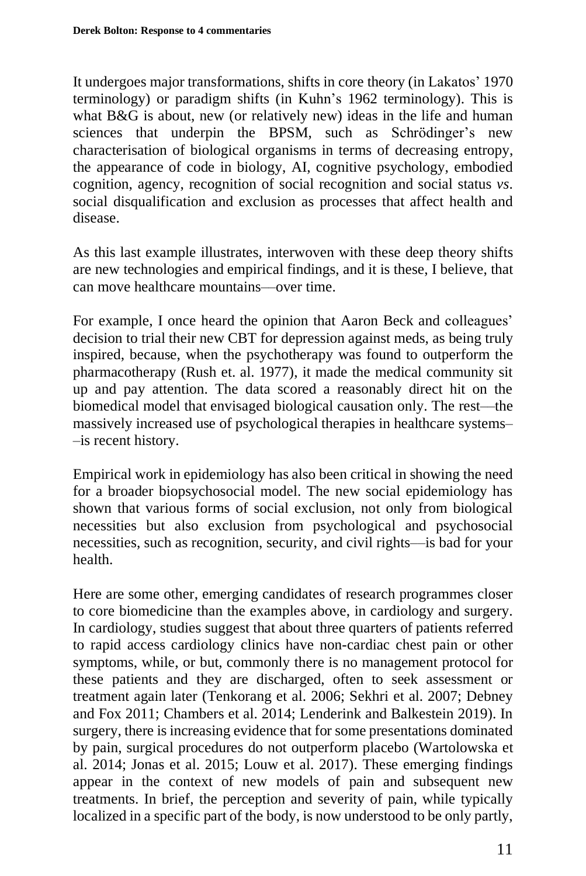It undergoes major transformations, shifts in core theory (in Lakatos' 1970 terminology) or paradigm shifts (in Kuhn's 1962 terminology). This is what B&G is about, new (or relatively new) ideas in the life and human sciences that underpin the BPSM, such as Schrödinger's new characterisation of biological organisms in terms of decreasing entropy, the appearance of code in biology, AI, cognitive psychology, embodied cognition, agency, recognition of social recognition and social status *vs*. social disqualification and exclusion as processes that affect health and disease.

As this last example illustrates, interwoven with these deep theory shifts are new technologies and empirical findings, and it is these, I believe, that can move healthcare mountains––over time.

For example, I once heard the opinion that Aaron Beck and colleagues' decision to trial their new CBT for depression against meds, as being truly inspired, because, when the psychotherapy was found to outperform the pharmacotherapy (Rush et. al. 1977), it made the medical community sit up and pay attention. The data scored a reasonably direct hit on the biomedical model that envisaged biological causation only. The rest––the massively increased use of psychological therapies in healthcare systems– –is recent history.

Empirical work in epidemiology has also been critical in showing the need for a broader biopsychosocial model. The new social epidemiology has shown that various forms of social exclusion, not only from biological necessities but also exclusion from psychological and psychosocial necessities, such as recognition, security, and civil rights––is bad for your health.

Here are some other, emerging candidates of research programmes closer to core biomedicine than the examples above, in cardiology and surgery. In cardiology, studies suggest that about three quarters of patients referred to rapid access cardiology clinics have non-cardiac chest pain or other symptoms, while, or but, commonly there is no management protocol for these patients and they are discharged, often to seek assessment or treatment again later (Tenkorang et al. 2006; Sekhri et al. 2007; Debney and Fox 2011; Chambers et al. 2014; Lenderink and Balkestein 2019). In surgery, there is increasing evidence that for some presentations dominated by pain, surgical procedures do not outperform placebo (Wartolowska et al. 2014; Jonas et al. 2015; Louw et al. 2017). These emerging findings appear in the context of new models of pain and subsequent new treatments. In brief, the perception and severity of pain, while typically localized in a specific part of the body, is now understood to be only partly,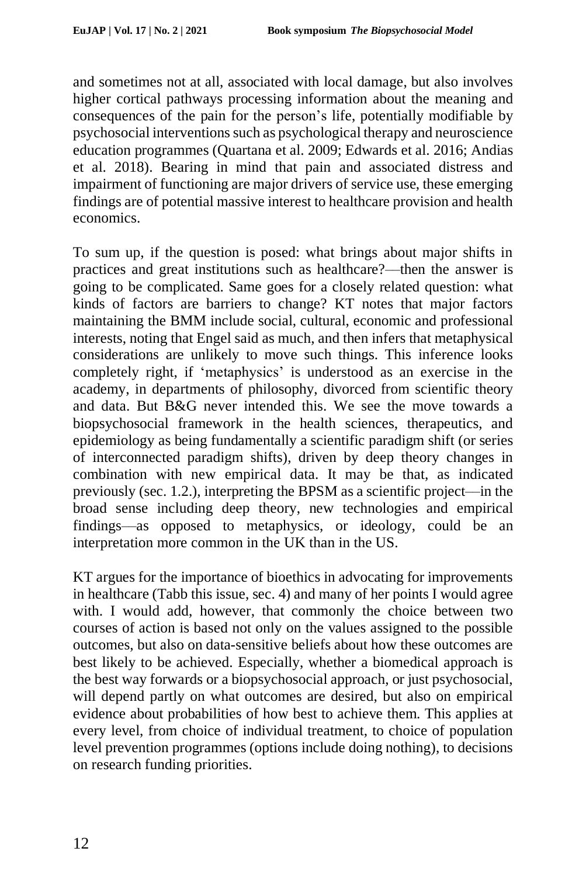and sometimes not at all, associated with local damage, but also involves higher cortical pathways processing information about the meaning and consequences of the pain for the person's life, potentially modifiable by psychosocial interventionssuch as psychological therapy and neuroscience education programmes (Quartana et al. 2009; Edwards et al. 2016; Andias et al. 2018). Bearing in mind that pain and associated distress and impairment of functioning are major drivers of service use, these emerging findings are of potential massive interest to healthcare provision and health economics.

To sum up, if the question is posed: what brings about major shifts in practices and great institutions such as healthcare?––then the answer is going to be complicated. Same goes for a closely related question: what kinds of factors are barriers to change? KT notes that major factors maintaining the BMM include social, cultural, economic and professional interests, noting that Engel said as much, and then infers that metaphysical considerations are unlikely to move such things. This inference looks completely right, if 'metaphysics' is understood as an exercise in the academy, in departments of philosophy, divorced from scientific theory and data. But B&G never intended this. We see the move towards a biopsychosocial framework in the health sciences, therapeutics, and epidemiology as being fundamentally a scientific paradigm shift (or series of interconnected paradigm shifts), driven by deep theory changes in combination with new empirical data. It may be that, as indicated previously (sec. 1.2.), interpreting the BPSM as a scientific project––in the broad sense including deep theory, new technologies and empirical findings––as opposed to metaphysics, or ideology, could be an interpretation more common in the UK than in the US.

KT argues for the importance of bioethics in advocating for improvements in healthcare (Tabb this issue, sec. 4) and many of her points I would agree with. I would add, however, that commonly the choice between two courses of action is based not only on the values assigned to the possible outcomes, but also on data-sensitive beliefs about how these outcomes are best likely to be achieved. Especially, whether a biomedical approach is the best way forwards or a biopsychosocial approach, or just psychosocial, will depend partly on what outcomes are desired, but also on empirical evidence about probabilities of how best to achieve them. This applies at every level, from choice of individual treatment, to choice of population level prevention programmes (options include doing nothing), to decisions on research funding priorities.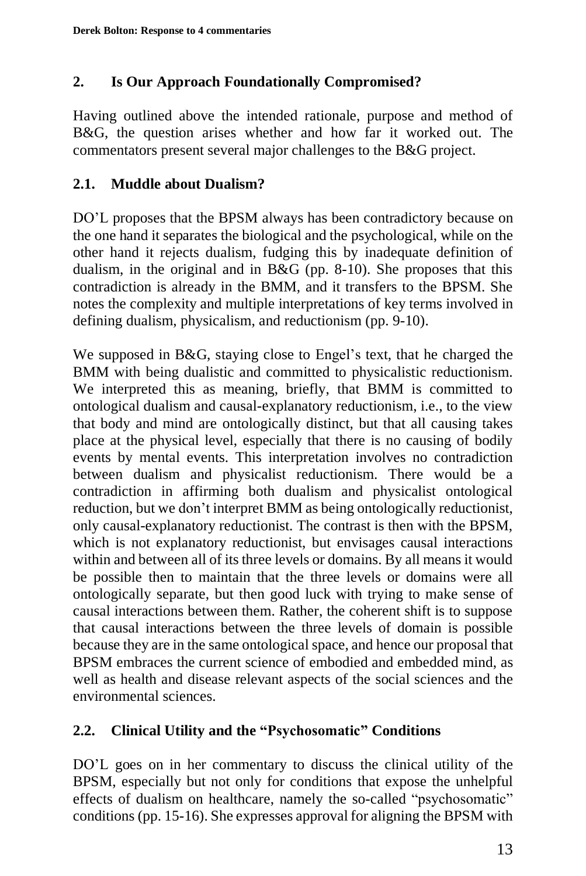## **2. Is Our Approach Foundationally Compromised?**

Having outlined above the intended rationale, purpose and method of B&G, the question arises whether and how far it worked out. The commentators present several major challenges to the B&G project.

## **2.1. Muddle about Dualism?**

DO'L proposes that the BPSM always has been contradictory because on the one hand it separates the biological and the psychological, while on the other hand it rejects dualism, fudging this by inadequate definition of dualism, in the original and in B&G (pp. 8-10). She proposes that this contradiction is already in the BMM, and it transfers to the BPSM. She notes the complexity and multiple interpretations of key terms involved in defining dualism, physicalism, and reductionism (pp. 9-10).

We supposed in B&G, staying close to Engel's text, that he charged the BMM with being dualistic and committed to physicalistic reductionism. We interpreted this as meaning, briefly, that BMM is committed to ontological dualism and causal-explanatory reductionism, i.e., to the view that body and mind are ontologically distinct, but that all causing takes place at the physical level, especially that there is no causing of bodily events by mental events. This interpretation involves no contradiction between dualism and physicalist reductionism. There would be a contradiction in affirming both dualism and physicalist ontological reduction, but we don't interpret BMM as being ontologically reductionist, only causal-explanatory reductionist. The contrast is then with the BPSM, which is not explanatory reductionist, but envisages causal interactions within and between all of its three levels or domains. By all means it would be possible then to maintain that the three levels or domains were all ontologically separate, but then good luck with trying to make sense of causal interactions between them. Rather, the coherent shift is to suppose that causal interactions between the three levels of domain is possible because they are in the same ontological space, and hence our proposal that BPSM embraces the current science of embodied and embedded mind, as well as health and disease relevant aspects of the social sciences and the environmental sciences.

## **2.2. Clinical Utility and the "Psychosomatic" Conditions**

DO'L goes on in her commentary to discuss the clinical utility of the BPSM, especially but not only for conditions that expose the unhelpful effects of dualism on healthcare, namely the so-called "psychosomatic" conditions (pp. 15-16). She expresses approval for aligning the BPSM with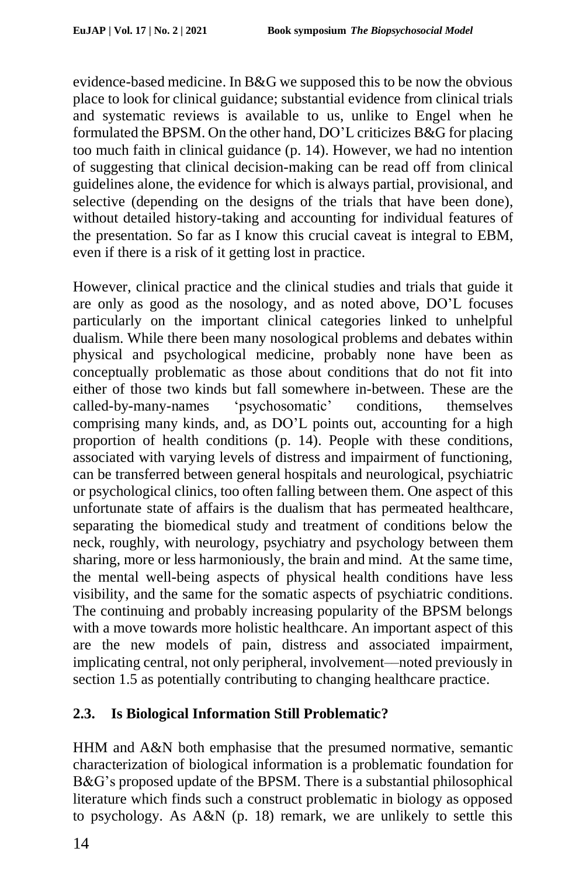evidence-based medicine. In B&G we supposed this to be now the obvious place to look for clinical guidance; substantial evidence from clinical trials and systematic reviews is available to us, unlike to Engel when he formulated the BPSM. On the other hand, DO'L criticizes B&G for placing too much faith in clinical guidance (p. 14). However, we had no intention of suggesting that clinical decision-making can be read off from clinical guidelines alone, the evidence for which is always partial, provisional, and selective (depending on the designs of the trials that have been done), without detailed history-taking and accounting for individual features of the presentation. So far as I know this crucial caveat is integral to EBM, even if there is a risk of it getting lost in practice.

However, clinical practice and the clinical studies and trials that guide it are only as good as the nosology, and as noted above, DO'L focuses particularly on the important clinical categories linked to unhelpful dualism. While there been many nosological problems and debates within physical and psychological medicine, probably none have been as conceptually problematic as those about conditions that do not fit into either of those two kinds but fall somewhere in-between. These are the called-by-many-names 'psychosomatic' conditions, themselves comprising many kinds, and, as DO'L points out, accounting for a high proportion of health conditions (p. 14). People with these conditions, associated with varying levels of distress and impairment of functioning, can be transferred between general hospitals and neurological, psychiatric or psychological clinics, too often falling between them. One aspect of this unfortunate state of affairs is the dualism that has permeated healthcare, separating the biomedical study and treatment of conditions below the neck, roughly, with neurology, psychiatry and psychology between them sharing, more or less harmoniously, the brain and mind. At the same time, the mental well-being aspects of physical health conditions have less visibility, and the same for the somatic aspects of psychiatric conditions. The continuing and probably increasing popularity of the BPSM belongs with a move towards more holistic healthcare. An important aspect of this are the new models of pain, distress and associated impairment, implicating central, not only peripheral, involvement––noted previously in section 1.5 as potentially contributing to changing healthcare practice.

# **2.3. Is Biological Information Still Problematic?**

HHM and A&N both emphasise that the presumed normative, semantic characterization of biological information is a problematic foundation for B&G's proposed update of the BPSM. There is a substantial philosophical literature which finds such a construct problematic in biology as opposed to psychology. As A&N (p. 18) remark, we are unlikely to settle this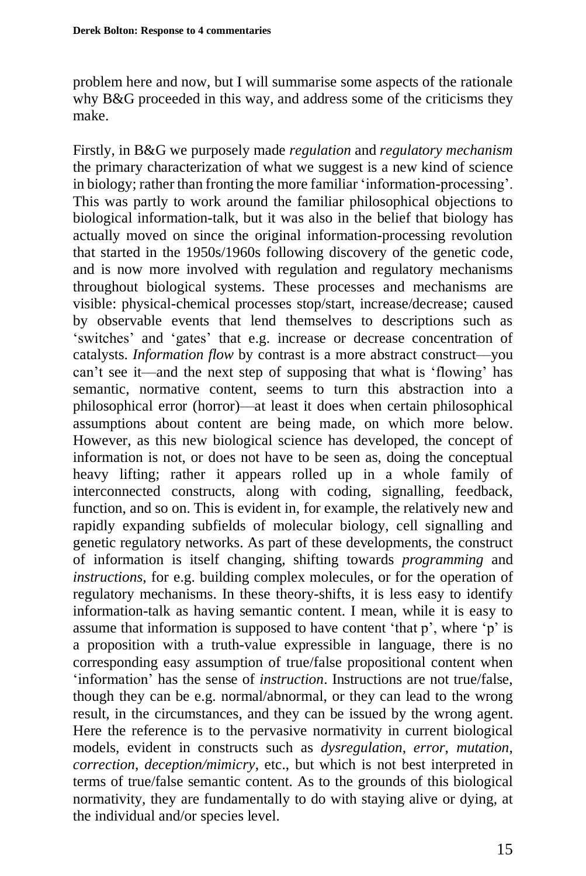problem here and now, but I will summarise some aspects of the rationale why B&G proceeded in this way, and address some of the criticisms they make.

Firstly, in B&G we purposely made *regulation* and *regulatory mechanism* the primary characterization of what we suggest is a new kind of science in biology; rather than fronting the more familiar 'information-processing'. This was partly to work around the familiar philosophical objections to biological information-talk, but it was also in the belief that biology has actually moved on since the original information-processing revolution that started in the 1950s/1960s following discovery of the genetic code, and is now more involved with regulation and regulatory mechanisms throughout biological systems. These processes and mechanisms are visible: physical-chemical processes stop/start, increase/decrease; caused by observable events that lend themselves to descriptions such as 'switches' and 'gates' that e.g. increase or decrease concentration of catalysts. *Information flow* by contrast is a more abstract construct––you can't see it––and the next step of supposing that what is 'flowing' has semantic, normative content, seems to turn this abstraction into a philosophical error (horror)––at least it does when certain philosophical assumptions about content are being made, on which more below. However, as this new biological science has developed, the concept of information is not, or does not have to be seen as, doing the conceptual heavy lifting; rather it appears rolled up in a whole family of interconnected constructs, along with coding, signalling, feedback, function, and so on. This is evident in, for example, the relatively new and rapidly expanding subfields of molecular biology, cell signalling and genetic regulatory networks. As part of these developments, the construct of information is itself changing, shifting towards *programming* and *instructions*, for e.g. building complex molecules, or for the operation of regulatory mechanisms. In these theory-shifts, it is less easy to identify information-talk as having semantic content. I mean, while it is easy to assume that information is supposed to have content 'that p', where 'p' is a proposition with a truth-value expressible in language, there is no corresponding easy assumption of true/false propositional content when 'information' has the sense of *instruction*. Instructions are not true/false, though they can be e.g. normal/abnormal, or they can lead to the wrong result, in the circumstances, and they can be issued by the wrong agent. Here the reference is to the pervasive normativity in current biological models, evident in constructs such as *dysregulation*, *error*, *mutation*, *correction*, *deception/mimicry*, etc., but which is not best interpreted in terms of true/false semantic content. As to the grounds of this biological normativity, they are fundamentally to do with staying alive or dying, at the individual and/or species level.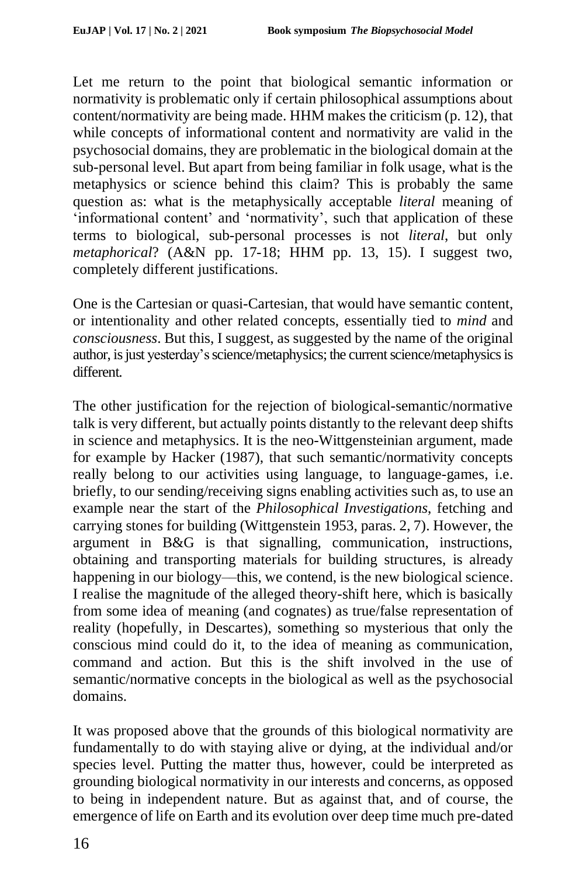Let me return to the point that biological semantic information or normativity is problematic only if certain philosophical assumptions about content/normativity are being made. HHM makes the criticism (p. 12), that while concepts of informational content and normativity are valid in the psychosocial domains, they are problematic in the biological domain at the sub-personal level. But apart from being familiar in folk usage, what is the metaphysics or science behind this claim? This is probably the same question as: what is the metaphysically acceptable *literal* meaning of 'informational content' and 'normativity', such that application of these terms to biological, sub-personal processes is not *literal*, but only *metaphorical*? (A&N pp. 17-18; HHM pp. 13, 15). I suggest two, completely different justifications.

One is the Cartesian or quasi-Cartesian, that would have semantic content, or intentionality and other related concepts, essentially tied to *mind* and *consciousness*. But this, I suggest, as suggested by the name of the original author, is just yesterday's science/metaphysics; the current science/metaphysics is different.

The other justification for the rejection of biological-semantic/normative talk is very different, but actually points distantly to the relevant deep shifts in science and metaphysics. It is the neo-Wittgensteinian argument, made for example by Hacker (1987), that such semantic/normativity concepts really belong to our activities using language, to language-games, i.e. briefly, to our sending/receiving signs enabling activities such as, to use an example near the start of the *Philosophical Investigations*, fetching and carrying stones for building (Wittgenstein 1953, paras. 2, 7). However, the argument in B&G is that signalling, communication, instructions, obtaining and transporting materials for building structures, is already happening in our biology—this, we contend, is the new biological science. I realise the magnitude of the alleged theory-shift here, which is basically from some idea of meaning (and cognates) as true/false representation of reality (hopefully, in Descartes), something so mysterious that only the conscious mind could do it, to the idea of meaning as communication, command and action. But this is the shift involved in the use of semantic/normative concepts in the biological as well as the psychosocial domains.

It was proposed above that the grounds of this biological normativity are fundamentally to do with staying alive or dying, at the individual and/or species level. Putting the matter thus, however, could be interpreted as grounding biological normativity in our interests and concerns, as opposed to being in independent nature. But as against that, and of course, the emergence of life on Earth and its evolution over deep time much pre-dated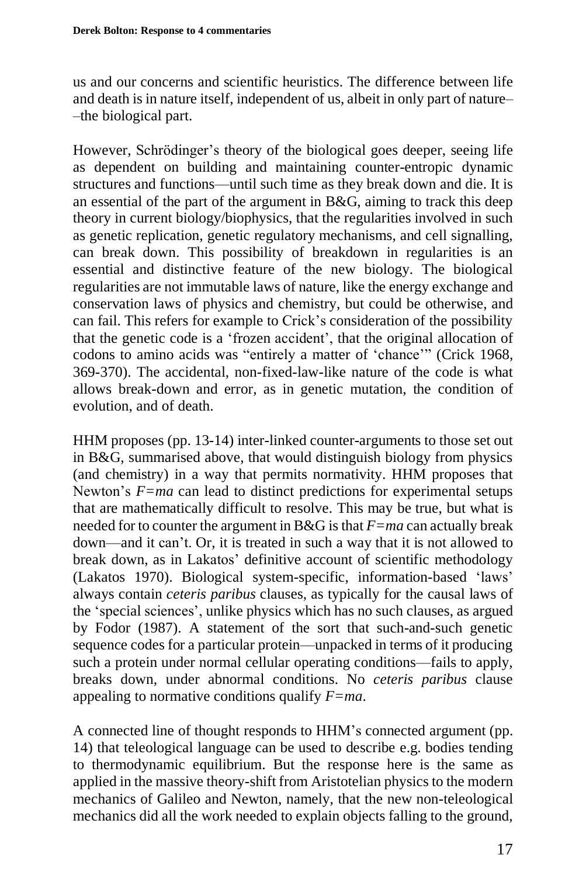us and our concerns and scientific heuristics. The difference between life and death is in nature itself, independent of us, albeit in only part of nature– –the biological part.

However, Schrödinger's theory of the biological goes deeper, seeing life as dependent on building and maintaining counter-entropic dynamic structures and functions––until such time as they break down and die. It is an essential of the part of the argument in B&G, aiming to track this deep theory in current biology/biophysics, that the regularities involved in such as genetic replication, genetic regulatory mechanisms, and cell signalling, can break down. This possibility of breakdown in regularities is an essential and distinctive feature of the new biology. The biological regularities are not immutable laws of nature, like the energy exchange and conservation laws of physics and chemistry, but could be otherwise, and can fail. This refers for example to Crick's consideration of the possibility that the genetic code is a 'frozen accident', that the original allocation of codons to amino acids was "entirely a matter of 'chance'" (Crick 1968, 369-370). The accidental, non-fixed-law-like nature of the code is what allows break-down and error, as in genetic mutation, the condition of evolution, and of death.

HHM proposes (pp. 13-14) inter-linked counter-arguments to those set out in B&G, summarised above, that would distinguish biology from physics (and chemistry) in a way that permits normativity. HHM proposes that Newton's *F=ma* can lead to distinct predictions for experimental setups that are mathematically difficult to resolve. This may be true, but what is needed for to counter the argument in B&G is that *F=ma* can actually break down––and it can't. Or, it is treated in such a way that it is not allowed to break down, as in Lakatos' definitive account of scientific methodology (Lakatos 1970). Biological system-specific, information-based 'laws' always contain *ceteris paribus* clauses, as typically for the causal laws of the 'special sciences', unlike physics which has no such clauses, as argued by Fodor (1987). A statement of the sort that such-and-such genetic sequence codes for a particular protein––unpacked in terms of it producing such a protein under normal cellular operating conditions––fails to apply, breaks down, under abnormal conditions. No *ceteris paribus* clause appealing to normative conditions qualify *F=ma*.

A connected line of thought responds to HHM's connected argument (pp. 14) that teleological language can be used to describe e.g. bodies tending to thermodynamic equilibrium. But the response here is the same as applied in the massive theory-shift from Aristotelian physics to the modern mechanics of Galileo and Newton, namely, that the new non-teleological mechanics did all the work needed to explain objects falling to the ground,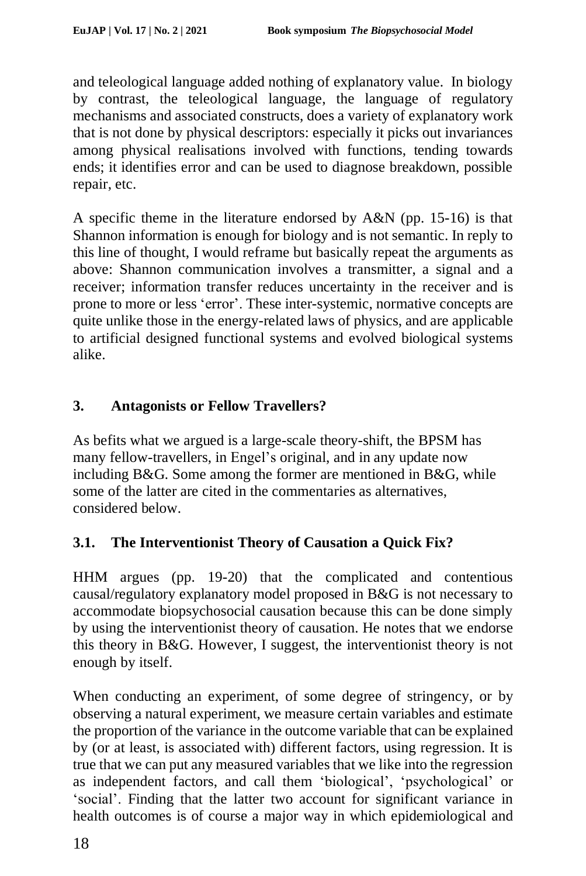and teleological language added nothing of explanatory value. In biology by contrast, the teleological language, the language of regulatory mechanisms and associated constructs, does a variety of explanatory work that is not done by physical descriptors: especially it picks out invariances among physical realisations involved with functions, tending towards ends; it identifies error and can be used to diagnose breakdown, possible repair, etc.

A specific theme in the literature endorsed by A&N (pp. 15-16) is that Shannon information is enough for biology and is not semantic. In reply to this line of thought, I would reframe but basically repeat the arguments as above: Shannon communication involves a transmitter, a signal and a receiver; information transfer reduces uncertainty in the receiver and is prone to more or less 'error'. These inter-systemic, normative concepts are quite unlike those in the energy-related laws of physics, and are applicable to artificial designed functional systems and evolved biological systems alike.

# **3. Antagonists or Fellow Travellers?**

As befits what we argued is a large-scale theory-shift, the BPSM has many fellow-travellers, in Engel's original, and in any update now including B&G. Some among the former are mentioned in B&G, while some of the latter are cited in the commentaries as alternatives, considered below.

# **3.1. The Interventionist Theory of Causation a Quick Fix?**

HHM argues (pp. 19-20) that the complicated and contentious causal/regulatory explanatory model proposed in B&G is not necessary to accommodate biopsychosocial causation because this can be done simply by using the interventionist theory of causation. He notes that we endorse this theory in B&G. However, I suggest, the interventionist theory is not enough by itself.

When conducting an experiment, of some degree of stringency, or by observing a natural experiment, we measure certain variables and estimate the proportion of the variance in the outcome variable that can be explained by (or at least, is associated with) different factors, using regression. It is true that we can put any measured variables that we like into the regression as independent factors, and call them 'biological', 'psychological' or 'social'. Finding that the latter two account for significant variance in health outcomes is of course a major way in which epidemiological and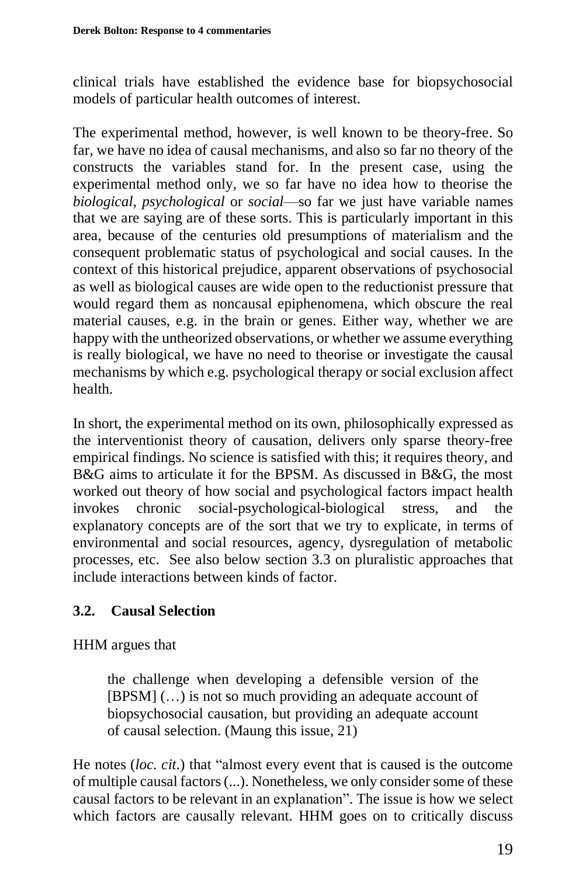clinical trials have established the evidence base for biopsychosocial models of particular health outcomes of interest.

The experimental method, however, is well known to be theory-free. So far, we have no idea of causal mechanisms, and also so far no theory of the constructs the variables stand for. In the present case, using the experimental method only, we so far have no idea how to theorise the *biological*, *psychological* or *social*––so far we just have variable names that we are saying are of these sorts. This is particularly important in this area, because of the centuries old presumptions of materialism and the consequent problematic status of psychological and social causes. In the context of this historical prejudice, apparent observations of psychosocial as well as biological causes are wide open to the reductionist pressure that would regard them as noncausal epiphenomena, which obscure the real material causes, e.g. in the brain or genes. Either way, whether we are happy with the untheorized observations, or whether we assume everything is really biological, we have no need to theorise or investigate the causal mechanisms by which e.g. psychological therapy or social exclusion affect health.

In short, the experimental method on its own, philosophically expressed as the interventionist theory of causation, delivers only sparse theory-free empirical findings. No science is satisfied with this; it requires theory, and B&G aims to articulate it for the BPSM. As discussed in B&G, the most worked out theory of how social and psychological factors impact health invokes chronic social-psychological-biological stress, and the explanatory concepts are of the sort that we try to explicate, in terms of environmental and social resources, agency, dysregulation of metabolic processes, etc. See also below section 3.3 on pluralistic approaches that include interactions between kinds of factor.

# **3.2. Causal Selection**

HHM argues that

the challenge when developing a defensible version of the [BPSM] (…) is not so much providing an adequate account of biopsychosocial causation, but providing an adequate account of causal selection. (Maung this issue, 21)

He notes (*loc. cit*.) that "almost every event that is caused is the outcome of multiple causal factors (...). Nonetheless, we only consider some of these causal factors to be relevant in an explanation". The issue is how we select which factors are causally relevant. HHM goes on to critically discuss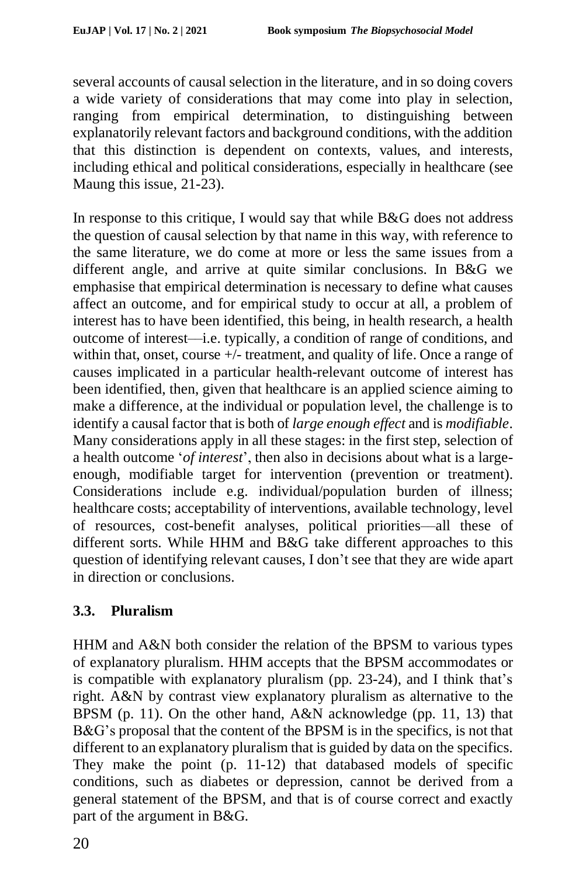several accounts of causal selection in the literature, and in so doing covers a wide variety of considerations that may come into play in selection, ranging from empirical determination, to distinguishing between explanatorily relevant factors and background conditions, with the addition that this distinction is dependent on contexts, values, and interests, including ethical and political considerations, especially in healthcare (see Maung this issue, 21-23).

In response to this critique, I would say that while B&G does not address the question of causal selection by that name in this way, with reference to the same literature, we do come at more or less the same issues from a different angle, and arrive at quite similar conclusions. In B&G we emphasise that empirical determination is necessary to define what causes affect an outcome, and for empirical study to occur at all, a problem of interest has to have been identified, this being, in health research, a health outcome of interest––i.e. typically, a condition of range of conditions, and within that, onset, course +/- treatment, and quality of life. Once a range of causes implicated in a particular health-relevant outcome of interest has been identified, then, given that healthcare is an applied science aiming to make a difference, at the individual or population level, the challenge is to identify a causal factor that is both of *large enough effect* and is *modifiable*. Many considerations apply in all these stages: in the first step, selection of a health outcome '*of interest*', then also in decisions about what is a largeenough, modifiable target for intervention (prevention or treatment). Considerations include e.g. individual/population burden of illness; healthcare costs; acceptability of interventions, available technology, level of resources, cost-benefit analyses, political priorities––all these of different sorts. While HHM and B&G take different approaches to this question of identifying relevant causes, I don't see that they are wide apart in direction or conclusions.

# **3.3. Pluralism**

HHM and A&N both consider the relation of the BPSM to various types of explanatory pluralism. HHM accepts that the BPSM accommodates or is compatible with explanatory pluralism (pp. 23-24), and I think that's right. A&N by contrast view explanatory pluralism as alternative to the BPSM (p. 11). On the other hand, A&N acknowledge (pp. 11, 13) that B&G's proposal that the content of the BPSM is in the specifics, is not that different to an explanatory pluralism that is guided by data on the specifics. They make the point (p. 11-12) that databased models of specific conditions, such as diabetes or depression, cannot be derived from a general statement of the BPSM, and that is of course correct and exactly part of the argument in B&G.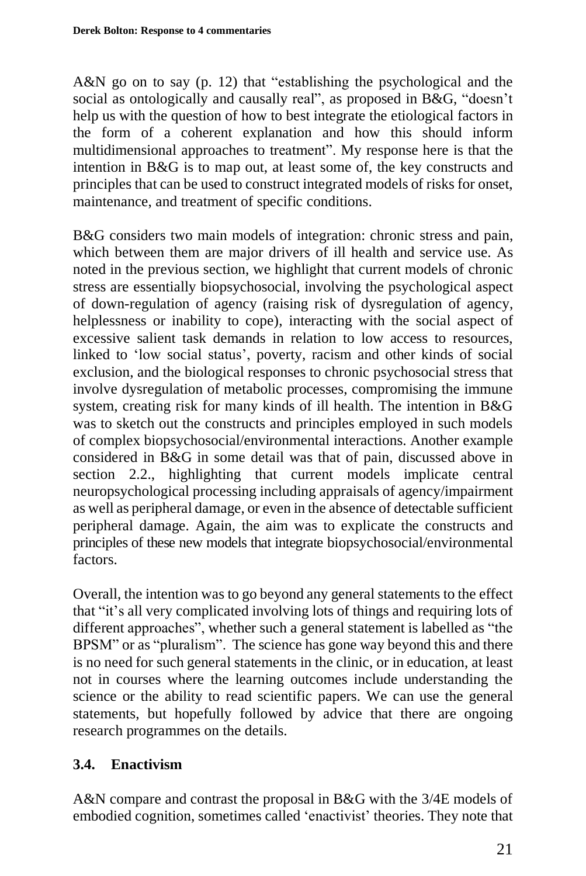A&N go on to say (p. 12) that "establishing the psychological and the social as ontologically and causally real", as proposed in B&G, "doesn't help us with the question of how to best integrate the etiological factors in the form of a coherent explanation and how this should inform multidimensional approaches to treatment". My response here is that the intention in B&G is to map out, at least some of, the key constructs and principles that can be used to construct integrated models of risks for onset, maintenance, and treatment of specific conditions.

B&G considers two main models of integration: chronic stress and pain, which between them are major drivers of ill health and service use. As noted in the previous section, we highlight that current models of chronic stress are essentially biopsychosocial, involving the psychological aspect of down-regulation of agency (raising risk of dysregulation of agency, helplessness or inability to cope), interacting with the social aspect of excessive salient task demands in relation to low access to resources, linked to 'low social status', poverty, racism and other kinds of social exclusion, and the biological responses to chronic psychosocial stress that involve dysregulation of metabolic processes, compromising the immune system, creating risk for many kinds of ill health. The intention in B&G was to sketch out the constructs and principles employed in such models of complex biopsychosocial/environmental interactions. Another example considered in B&G in some detail was that of pain, discussed above in section 2.2., highlighting that current models implicate central neuropsychological processing including appraisals of agency/impairment as well as peripheral damage, or even in the absence of detectable sufficient peripheral damage. Again, the aim was to explicate the constructs and principles of these new models that integrate biopsychosocial/environmental factors.

Overall, the intention was to go beyond any general statements to the effect that "it's all very complicated involving lots of things and requiring lots of different approaches", whether such a general statement is labelled as "the BPSM" or as "pluralism". The science has gone way beyond this and there is no need for such general statements in the clinic, or in education, at least not in courses where the learning outcomes include understanding the science or the ability to read scientific papers. We can use the general statements, but hopefully followed by advice that there are ongoing research programmes on the details.

## **3.4. Enactivism**

A&N compare and contrast the proposal in B&G with the 3/4E models of embodied cognition, sometimes called 'enactivist' theories. They note that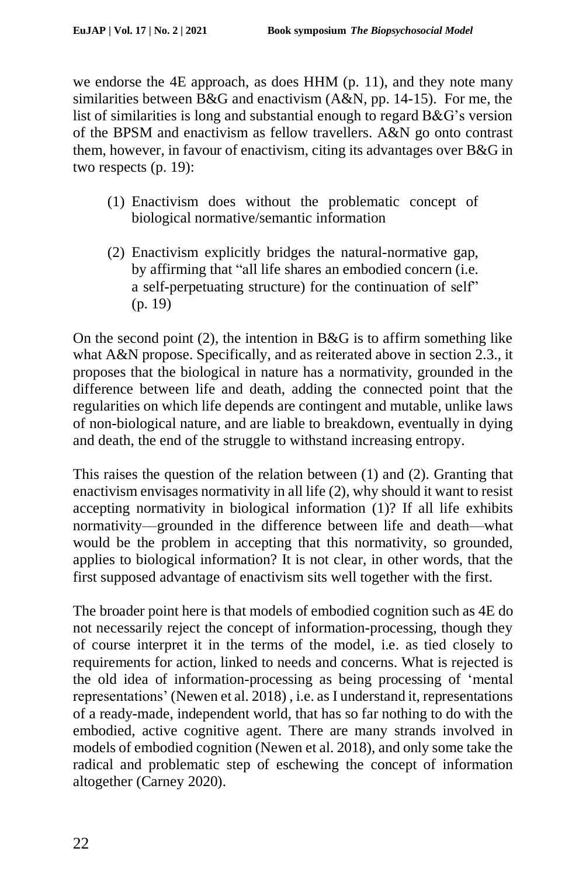we endorse the 4E approach, as does HHM (p. 11), and they note many similarities between B&G and enactivism (A&N, pp. 14-15). For me, the list of similarities is long and substantial enough to regard B&G's version of the BPSM and enactivism as fellow travellers. A&N go onto contrast them, however, in favour of enactivism, citing its advantages over B&G in two respects (p. 19):

- (1) Enactivism does without the problematic concept of biological normative/semantic information
- (2) Enactivism explicitly bridges the natural-normative gap, by affirming that "all life shares an embodied concern (i.e. a self-perpetuating structure) for the continuation of self" (p. 19)

On the second point  $(2)$ , the intention in B&G is to affirm something like what A&N propose. Specifically, and as reiterated above in section 2.3., it proposes that the biological in nature has a normativity, grounded in the difference between life and death, adding the connected point that the regularities on which life depends are contingent and mutable, unlike laws of non-biological nature, and are liable to breakdown, eventually in dying and death, the end of the struggle to withstand increasing entropy.

This raises the question of the relation between (1) and (2). Granting that enactivism envisages normativity in all life (2), why should it want to resist accepting normativity in biological information (1)? If all life exhibits normativity––grounded in the difference between life and death––what would be the problem in accepting that this normativity, so grounded, applies to biological information? It is not clear, in other words, that the first supposed advantage of enactivism sits well together with the first.

The broader point here is that models of embodied cognition such as 4E do not necessarily reject the concept of information-processing, though they of course interpret it in the terms of the model, i.e. as tied closely to requirements for action, linked to needs and concerns. What is rejected is the old idea of information-processing as being processing of 'mental representations' (Newen et al. 2018) , i.e. as I understand it, representations of a ready-made, independent world, that has so far nothing to do with the embodied, active cognitive agent. There are many strands involved in models of embodied cognition (Newen et al. 2018), and only some take the radical and problematic step of eschewing the concept of information altogether (Carney 2020).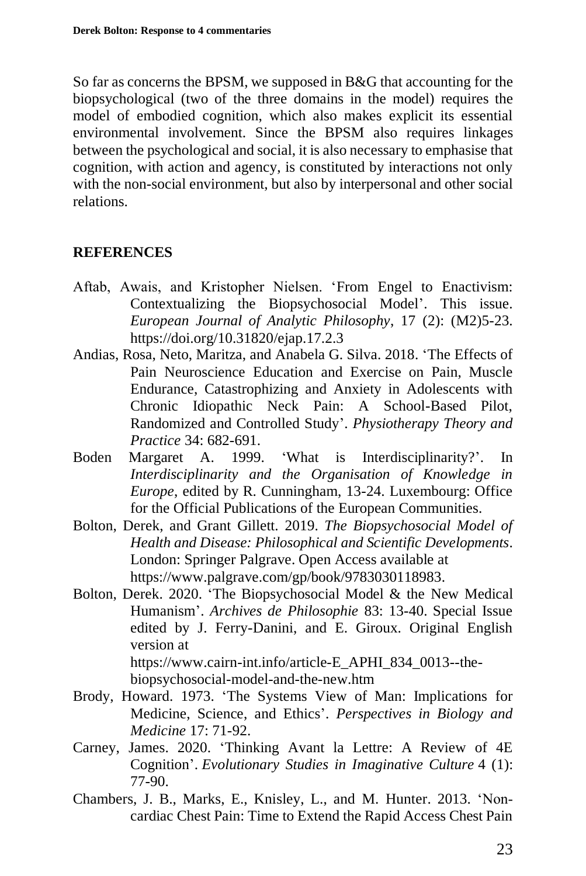So far as concerns the BPSM, we supposed in B&G that accounting for the biopsychological (two of the three domains in the model) requires the model of embodied cognition, which also makes explicit its essential environmental involvement. Since the BPSM also requires linkages between the psychological and social, it is also necessary to emphasise that cognition, with action and agency, is constituted by interactions not only with the non-social environment, but also by interpersonal and other social relations.

## **REFERENCES**

- Aftab, Awais, and Kristopher Nielsen. 'From Engel to Enactivism: Contextualizing the Biopsychosocial Model'. This issue. *European Journal of Analytic Philosophy*, 17 (2): (M2)5-23. https://doi.org/10.31820/ejap.17.2.3
- Andias, Rosa, Neto, Maritza, and Anabela G. Silva. 2018. 'The Effects of Pain Neuroscience Education and Exercise on Pain, Muscle Endurance, Catastrophizing and Anxiety in Adolescents with Chronic Idiopathic Neck Pain: A School-Based Pilot, Randomized and Controlled Study'. *Physiotherapy Theory and Practice* 34: 682-691.
- Boden Margaret A. 1999. 'What is Interdisciplinarity?'. In *Interdisciplinarity and the Organisation of Knowledge in Europe*, edited by R. Cunningham, 13-24. Luxembourg: Office for the Official Publications of the European Communities.
- Bolton, Derek, and Grant Gillett. 2019. *The Biopsychosocial Model of Health and Disease: Philosophical and Scientific Developments*. London: Springer Palgrave. Open Access available at https://www.palgrave.com/gp/book/9783030118983.
- Bolton, Derek. 2020. 'The Biopsychosocial Model & the New Medical Humanism'. *Archives de Philosophie* 83: 13-40. Special Issue edited by J. Ferry-Danini, and E. Giroux. Original English version at https://www.cairn-int.info/article-E\_APHI\_834\_0013--the-

biopsychosocial-model-and-the-new.htm

- Brody, Howard. 1973. 'The Systems View of Man: Implications for Medicine, Science, and Ethics'. *Perspectives in Biology and Medicine* 17: 71-92.
- Carney, James. 2020. 'Thinking Avant la Lettre: A Review of 4E Cognition'. *Evolutionary Studies in Imaginative Culture* 4 (1): 77-90.
- Chambers, J. B., Marks, E., Knisley, L., and M. Hunter. 2013. 'Non‐ cardiac Chest Pain: Time to Extend the Rapid Access Chest Pain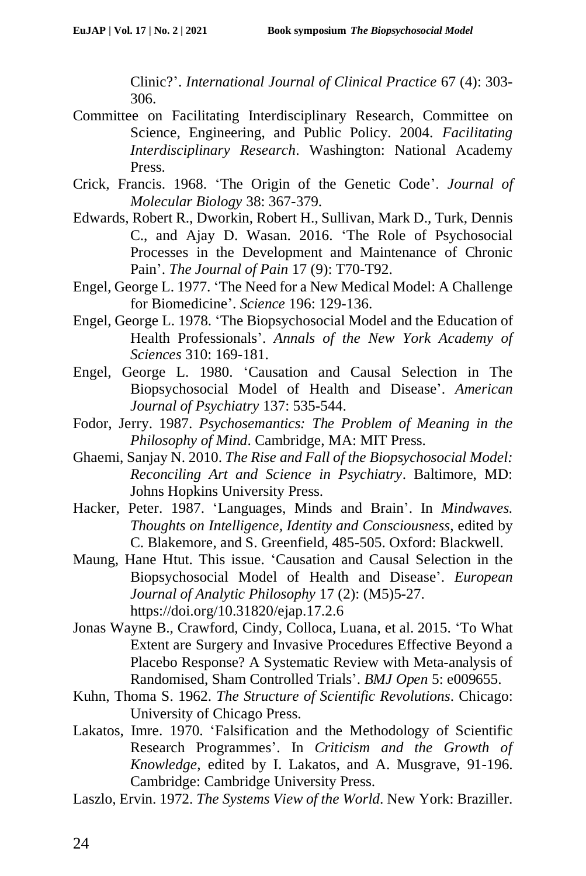Clinic?'. *International Journal of Clinical Practice* 67 (4): 303- 306.

- Committee on Facilitating Interdisciplinary Research, Committee on Science, Engineering, and Public Policy. 2004. *Facilitating Interdisciplinary Research*. Washington: National Academy Press.
- Crick, Francis. 1968. 'The Origin of the Genetic Code'. *Journal of Molecular Biology* 38: 367-379.
- Edwards, Robert R., Dworkin, Robert H., Sullivan, Mark D., Turk, Dennis C., and Ajay D. Wasan. 2016. 'The Role of Psychosocial Processes in the Development and Maintenance of Chronic Pain'. *The Journal of Pain* 17 (9): T70-T92.
- Engel, George L. 1977. 'The Need for a New Medical Model: A Challenge for Biomedicine'. *Science* 196: 129-136.
- Engel, George L. 1978. 'The Biopsychosocial Model and the Education of Health Professionals'. *Annals of the New York Academy of Sciences* 310: 169-181.
- Engel, George L. 1980. 'Causation and Causal Selection in The Biopsychosocial Model of Health and Disease'. *American Journal of Psychiatry* 137: 535-544.
- Fodor, Jerry. 1987. *Psychosemantics: The Problem of Meaning in the Philosophy of Mind*. Cambridge, MA: MIT Press.
- Ghaemi, Sanjay N. 2010. *The Rise and Fall of the Biopsychosocial Model: Reconciling Art and Science in Psychiatry*. Baltimore, MD: Johns Hopkins University Press.
- Hacker, Peter. 1987. 'Languages, Minds and Brain'. In *Mindwaves. Thoughts on Intelligence, Identity and Consciousness*, edited by C. Blakemore, and S. Greenfield, 485-505. Oxford: Blackwell.
- Maung, Hane Htut. This issue. 'Causation and Causal Selection in the Biopsychosocial Model of Health and Disease'. *European Journal of Analytic Philosophy* 17 (2): (M5)5-27. https://doi.org/10.31820/ejap.17.2.6
- Jonas Wayne B., Crawford, Cindy, Colloca, Luana, et al. 2015. 'To What Extent are Surgery and Invasive Procedures Effective Beyond a Placebo Response? A Systematic Review with Meta-analysis of Randomised, Sham Controlled Trials'. *BMJ Open* 5: e009655.
- Kuhn, Thoma S. 1962. *The Structure of Scientific Revolutions*. Chicago: University of Chicago Press.
- Lakatos, Imre. 1970. 'Falsification and the Methodology of Scientific Research Programmes'. In *Criticism and the Growth of Knowledge*, edited by I. Lakatos, and A. Musgrave, 91-196. Cambridge: Cambridge University Press.
- Laszlo, Ervin. 1972. *The Systems View of the World*. New York: Braziller.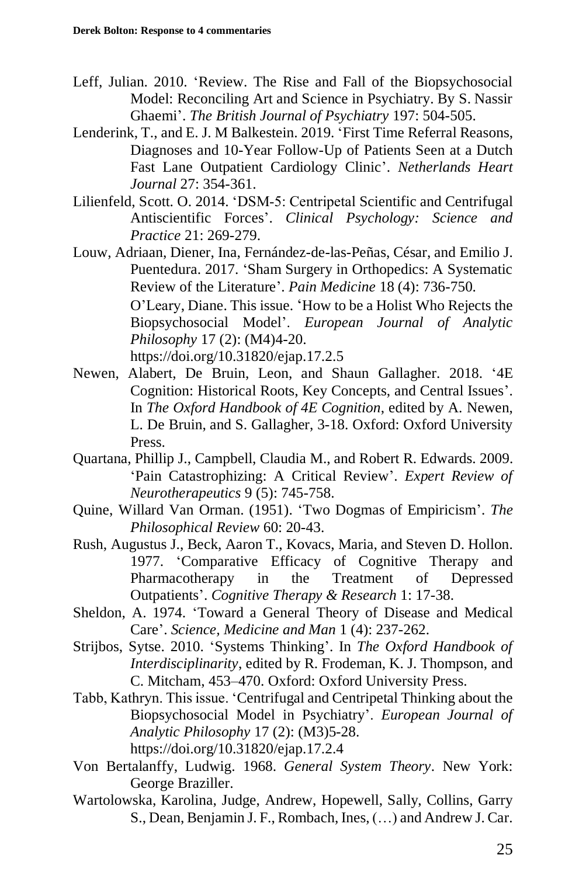- Leff, Julian. 2010. 'Review. The Rise and Fall of the Biopsychosocial Model: Reconciling Art and Science in Psychiatry. By S. Nassir Ghaemi'. *The British Journal of Psychiatry* 197: 504-505.
- Lenderink, T., and E. J. M Balkestein. 2019. 'First Time Referral Reasons, Diagnoses and 10-Year Follow-Up of Patients Seen at a Dutch Fast Lane Outpatient Cardiology Clinic'. *Netherlands Heart Journal* 27: 354-361.
- Lilienfeld, Scott. O. 2014. 'DSM‐5: Centripetal Scientific and Centrifugal Antiscientific Forces'. *Clinical Psychology: Science and Practice* 21: 269-279.
- Louw, Adriaan, Diener, Ina, Fernández-de-las-Peñas, César, and Emilio J. Puentedura. 2017. 'Sham Surgery in Orthopedics: A Systematic Review of the Literature'. *Pain Medicine* 18 (4): 736-750.

O'Leary, Diane. This issue. 'How to be a Holist Who Rejects the Biopsychosocial Model'. *European Journal of Analytic Philosophy* 17 (2): (M4)4-20.

https://doi.org/10.31820/ejap.17.2.5

- Newen, Alabert, De Bruin, Leon, and Shaun Gallagher. 2018. '4E Cognition: Historical Roots, Key Concepts, and Central Issues'. In *The Oxford Handbook of 4E Cognition*, edited by A. Newen, L. De Bruin, and S. Gallagher, 3-18. Oxford: Oxford University Press.
- Quartana, Phillip J., Campbell, Claudia M., and Robert R. Edwards. 2009. 'Pain Catastrophizing: A Critical Review'. *Expert Review of Neurotherapeutics* 9 (5): 745-758.
- Quine, Willard Van Orman. (1951). 'Two Dogmas of Empiricism'. *The Philosophical Review* 60: 20-43.
- Rush, Augustus J., Beck, Aaron T., Kovacs, Maria, and Steven D. Hollon. 1977. 'Comparative Efficacy of Cognitive Therapy and Pharmacotherapy in the Treatment of Depressed Outpatients'. *Cognitive Therapy & Research* 1: 17-38.
- Sheldon, A. 1974. 'Toward a General Theory of Disease and Medical Care'. *Science, Medicine and Man* 1 (4): 237-262.
- Strijbos, Sytse. 2010. 'Systems Thinking'. In *The Oxford Handbook of Interdisciplinarity*, edited by R. Frodeman, K. J. Thompson, and C. Mitcham, 453–470. Oxford: Oxford University Press.
- Tabb, Kathryn. This issue. 'Centrifugal and Centripetal Thinking about the Biopsychosocial Model in Psychiatry'. *European Journal of Analytic Philosophy* 17 (2): (M3)5-28. https://doi.org/10.31820/ejap.17.2.4
- Von Bertalanffy, Ludwig. 1968. *General System Theory*. New York: George Braziller.
- Wartolowska, Karolina, Judge, Andrew, Hopewell, Sally, Collins, Garry S., Dean, Benjamin J. F., Rombach, Ines, (…) and Andrew J. Car.